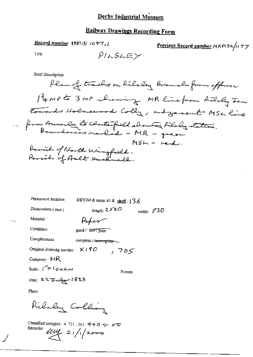# **Railway Drawings Recording Form**

Record number 1997-5/ 1047,

Previous Record number MRP132/1177

Title

$$
\rho_{\textit{ILSLE>}}
$$

**Brief Description** 

| Permanent location                   | DBYIM & room 49 & shelf: $136$ |              |  |
|--------------------------------------|--------------------------------|--------------|--|
| Dimensions (mm)                      | length: $2530$                 | width: $530$ |  |
| Material                             | Kaper                          |              |  |
| Condition                            | good / fair / poor             |              |  |
| Completeness                         | complete / incomplete          |              |  |
| Original drawing number $\times$ 190 | ك05 ,                          |              |  |
| Company: $MR$                        |                                |              |  |
| Scale: $1'' = 1 GHA/M$               | Person:                        |              |  |
| Date: 22 July 1893                   |                                |              |  |
| <b>Diamo</b>                         |                                |              |  |

Place:

Rilaley Colling

Classified category: 4-721, 301,  $994A \rightleftharpoons 60$ Recorder  $\mu\mu$  21/1/2000

 $-$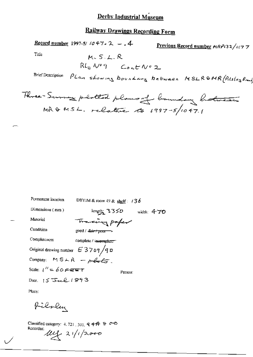## **Railway Drawings Recording Form**

Record number 1997-5/  $1047 - 2 - 4$ Previous Record number HRP132/1177 Title  $M.S.L.R$  $Rl_uN^q$  Cont  $N^q$  2 PLan showing boundary between MSLRSMR (Pilsley Brund **Brief Description** 

| Permanent location                                        | DBYIM & room 49 & shelf: $136$          |            |
|-----------------------------------------------------------|-----------------------------------------|------------|
| Dimensions (mm)                                           | $length_1 \rightarrow 355$              | width: 470 |
| Material                                                  | Travering paper                         |            |
| Condition                                                 | good / <del>fai<i>r</i> / poor --</del> |            |
| Completeness                                              | complete / incomplete                   |            |
| Original drawing number $E 3709/90$                       |                                         |            |
| Company: $MSAR - pQ_pQ_p$                                 |                                         |            |
| Scale: $1'' = 60$ $\epsilon$ $\epsilon$ $\epsilon$ $\tau$ | Person:                                 |            |
| Date: $15$ Jul $1893$                                     |                                         |            |
|                                                           |                                         |            |

Place:

Pilsley

Classified category: 4, 721, 301,  $44A + 2C$ Recorder:  $\mu_{12}$  21/1/2000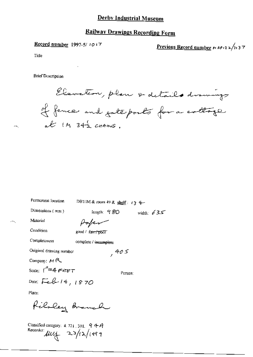## **Railway Drawings Recording Form**

Record number 1997-5/1017

Previous Record number  $\kappa$  ap 13 2/11 3 7

Title

яH,

**Brief Description** 

Elevation, plan & details drawings If fence and gate ports for a cottage at  $M$  342  $c$   $anms$ .

| Permanent location                      | DBYIM & room 49 & shelf: $\sqrt{3}$ 4 |               |              |
|-----------------------------------------|---------------------------------------|---------------|--------------|
| Dimensions $(mn)$                       |                                       | length: $980$ | width: $635$ |
| Material                                | Hopen                                 |               |              |
| Condition                               | good / fair / poor                    |               |              |
| Completeness                            | complete / incomplete                 |               |              |
| Original drawing number                 |                                       | ,405          |              |
| Company: $H R$                          |                                       |               |              |
| Scale: $\ell''$ =4 $\epsilon$ er $\tau$ |                                       | Person:       |              |
| Date: Feb 14, 1870                      |                                       |               |              |
| Place:                                  |                                       |               |              |
| Riloley Branch                          |                                       |               |              |

Classified category:  $4.721$ ,  $301$ ,  $949$ Recorder:  $\mu v$  23/12/1999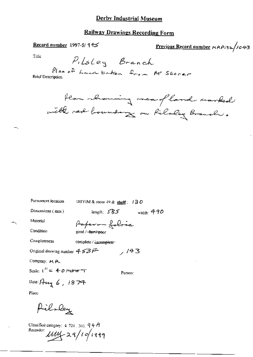## **Railway Drawings Recording Form**

Record number 1997-5/945

Previous Record number  $MAP_{132}/1043$ 

Title

Plan of Land taken from Mr Storer **Brief Description** 



| Permanent location                            | UBYIM & room $49$ & shelf: 130  |
|-----------------------------------------------|---------------------------------|
| Dimensions (mm)                               | length: 5B5<br>widdh: $490$     |
| Material                                      | Paparon fobric                  |
| Condition                                     | good /- <del>fair / po</del> or |
| Completeness                                  | complete / incomplete-          |
| Original drawing number $453$ $\widetilde{F}$ | /143                            |
| Company: MA                                   |                                 |
| Scale: $1'' = 4$ O reason $T$                 | Person:                         |
| Date: Aug 6, 1874                             |                                 |
| Place.                                        |                                 |
| Pilla                                         |                                 |

Classified category: 4, 721, 301,  $9 + A$ Recorder 1114 29/10/1999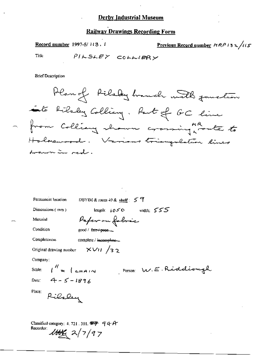### **Railway Drawings Recording Form**

Record number 1997-5/113, 1 Previous Record number  $HRP/32/115$ 

Title

PILSLEY COLLIERY

**Brief Description** 

Plan of Filsby handle with function to filsty Colling. But of GC live - from Colliany thousand crossing worker to Holmewood. Various triangulation lines domen in red.

| Permanent location<br>DBYIM & room $49$ & shelf: $5$ $7$    |  |
|-------------------------------------------------------------|--|
| length: $i \circ \infty$ width: $555$<br>Dimensions $(mn)$  |  |
| Pafer on fobric<br>Material                                 |  |
| Condition <sub>1</sub><br>good / $fdiff + popt$             |  |
| Completeness<br>complete / incomplete                       |  |
| Original drawing number $\frac{1}{2}$ $\sqrt{11}/3$ 2       |  |
| Company:                                                    |  |
| Scale: $\int_1^{H}$ = $\int$ chain<br>Person W.E. Riddiough |  |
| Date: $4 - 5 - 1894$                                        |  |
| Place:                                                      |  |
| Rilsley                                                     |  |
|                                                             |  |
| Classified category: 4, 721, 301, $\mathcal{F}$ = 9 4 A     |  |
| Recorder:<br>1000(27/97)                                    |  |
|                                                             |  |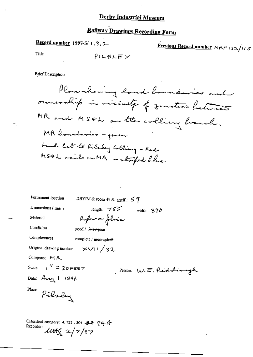# Railway Drawings Recording Form

Record number 1997-5/113.2

Previous Record number  $MRP$  132/115

Title

$$
\rho\cap\mathsf{SLE}\times
$$

**Brief Description** 

Classified category: 4.721, 301. 32  $q$  q + A<br>Recorder:<br> $\mathcal{U}H(2)$   $\mathcal{V}$   $\mathcal{V}$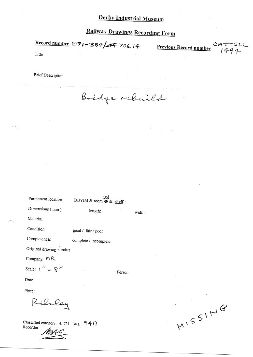**Railway Drawings Recording Form** 

Record number 1971-384/44 706.14 Previous Record number CATTELL  $1494$ Title

 $\cdot$ 

**Brief Description** 

Bridge rebuild

| Permanent location                                               | 33<br>DBYIM & room $\blacktriangleright$ & shelf: |         |        |
|------------------------------------------------------------------|---------------------------------------------------|---------|--------|
| Dimensions (mm)                                                  | length:                                           |         | width: |
| Material                                                         |                                                   |         |        |
| Condition                                                        | good / fair / poor                                |         |        |
| Completeness                                                     | complete / incomplete                             |         |        |
| Original drawing number                                          |                                                   |         |        |
| Company; $\mathrel{\ensuremath{\mathsf{M}}}\mathrel{\mathsf{R}}$ |                                                   |         |        |
| Scale: $1'' = 8$                                                 |                                                   | Person: |        |
| Date:                                                            |                                                   |         |        |
| Place:                                                           |                                                   |         |        |
| ilsley                                                           |                                                   |         |        |

Classified category: 4, 721, 301, 94A Recorder:

MISSING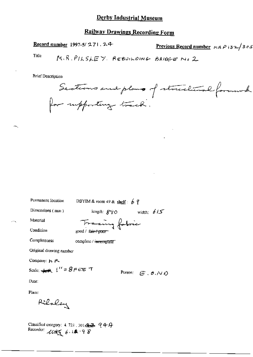### **Railway Drawings Recording Form**

Record number 1997-5/271.24 Previous Record number  $AABP$  (32/305) Title  $\mathbf{r}$ 

**Brief Description** 

Sections and plans of structural formuck

| Permanent Iocation                   | DBYIM & room 49 & shelf: $6$ ?      |                                            |              |
|--------------------------------------|-------------------------------------|--------------------------------------------|--------------|
| Dimensions (mm)                      | length: $g\gamma_O$                 |                                            | width: $615$ |
| Material                             | Traing fabric                       |                                            |              |
| Condition                            | good / fa <del>ir / poor -</del>    |                                            |              |
| Completeness                         | complete / i <del>ncomplete -</del> |                                            |              |
| Original drawing number              |                                     |                                            |              |
| Company: ト 八                         |                                     |                                            |              |
| Scale: $4.4$ , $1'' = 8$ $F \in E$ T |                                     | Person: $E$ , $\theta$ , $\wedge$ $\theta$ |              |
| Date:                                |                                     |                                            |              |
| Place:                               |                                     |                                            |              |
| Rilaley                              |                                     |                                            |              |

Classified category: 4.721.30183 944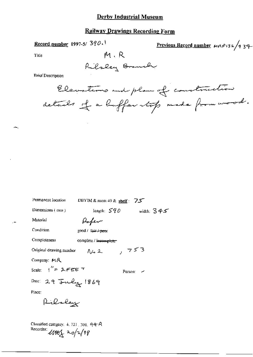#### **Railway Drawings Recording Form**

Record number 1997-5/  $390.1$ 

Previous Record number MRP132/439

Title

Rilsley Branch

 $M \cdot R$ 

**Brief Description** 

Elevations and plan of construction details et a buffer stop made from wood.

| Permanent location                                                | DBYIM & room 49 & shelf: $75$  |              |
|-------------------------------------------------------------------|--------------------------------|--------------|
| Dimensions (mm)                                                   | length: $590$                  | width: $345$ |
| Material                                                          | flafen                         |              |
| Condition                                                         | good / Tair <del>/ poo</del> r |              |
| Completeness                                                      | complete / incomplete          |              |
| Original drawing nember                                           | NG 2.                          | 753          |
| Company: $MR$                                                     |                                |              |
| Scale: $1'' = 1$ FEE T                                            |                                | Person:      |
| Date: 29 July 1869                                                |                                |              |
| Place:                                                            |                                |              |
| Richaley                                                          |                                |              |
|                                                                   |                                |              |
| Classified category: 4, 721, 301, 99-A<br>Recorder: 11861 20/2/98 |                                |              |